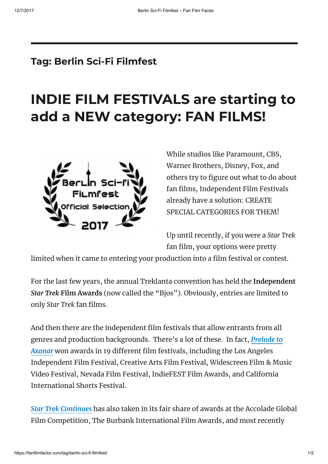## Tag: Berlin Sci-Fi Filmfest

# INDIE [FILM FESTIVALS](https://fanfilmfactor.com/2017/10/23/indie-film-festivals-are-starting-to-add-a-new-category-fan-films/) are starting to add a NEW category: FAN FILMS!



While studios like Paramount, CBS, Warner Brothers, Disney, Fox, and others try to figure out what to do about fan films, Independent Film Festivals already have a solution: CREATE SPECIAL CATEGORIES FOR THEM!

Up until recently, if you were a Star Trek fan film, your options were pretty

limited when it came to entering your production into a film festival or contest.

For the last few years, the annual Treklanta convention has held the Independent Star Trek Film Awards (now called the "Bjos"). Obviously, entries are limited to only Star Trek fan films.

And then there are the independent film festivals that allow entrants from all genres and production [backgrounds.](https://www.youtube.com/watch?v=1W1_8IV8uhA) There's a lot of these. In fact, Prelude to Axanar won awards in 19 different film festivals, including the Los Angeles Independent Film Festival, Creative Arts Film Festival, Widescreen Film & Music Video Festival, Nevada Film Festival, IndieFEST Film Awards, and California International Shorts Festival.

Star Trek [Continues](http://startrekcontinues.com/episodes.html) has also taken in its fair share of awards at the Accolade Global Film Competition, The Burbank International Film Awards, and most recently